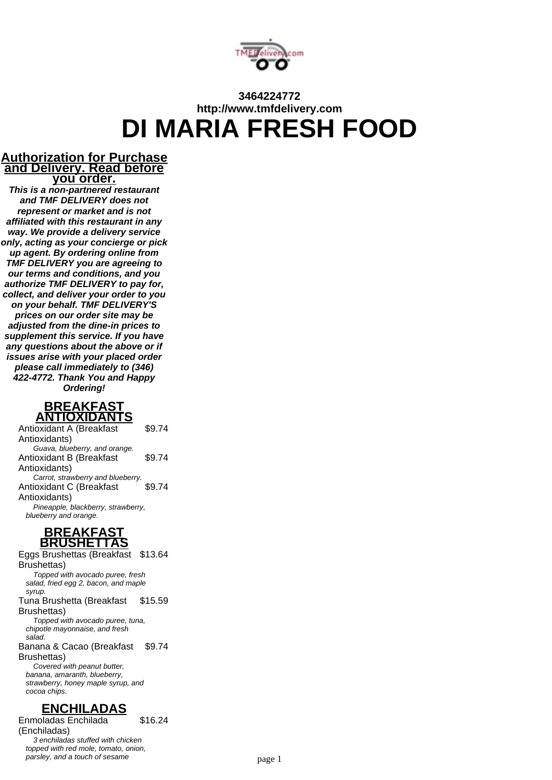

# **3464224772 http://www.tmfdelivery.com DI MARIA FRESH FOOD**

#### **Authorization for Purchase and Delivery. Read before you order.**

**This is a non-partnered restaurant and TMF DELIVERY does not represent or market and is not affiliated with this restaurant in any way. We provide a delivery service only, acting as your concierge or pick up agent. By ordering online from TMF DELIVERY you are agreeing to our terms and conditions, and you authorize TMF DELIVERY to pay for, collect, and deliver your order to you on your behalf. TMF DELIVERY'S prices on our order site may be adjusted from the dine-in prices to supplement this service. If you have any questions about the above or if issues arise with your placed order please call immediately to (346) 422-4772. Thank You and Happy Ordering!**



Antioxidant A (Breakfast Antioxidants) \$9.74 Guava, blueberry, and orange. Antioxidant B (Breakfast Antioxidants) \$9.74 Carrot, strawberry and blueberry. Antioxidant C (Breakfast Antioxidants) \$9.74 Pineapple, blackberry, strawberry, blueberry and orange.

#### **BREAKFAST BRUSHETTAS**

Eggs Brushettas (Breakfast \$13.64 Brushettas) Topped with avocado puree, fresh salad, fried egg 2, bacon, and maple syrup Tuna Brushetta (Breakfast Brushettas) \$15.59 Topped with avocado puree, tuna, chipotle mayonnaise, and fresh salad. Banana & Cacao (Breakfast Brushettas) \$9.74 Covered with peanut butter. banana, amaranth, blueberry, strawberry, honey maple syrup, and cocoa chips.

## **ENCHILADAS**

Enmoladas Enchilada (Enchiladas) \$16.24 3 enchiladas stuffed with chicken topped with red mole, tomato, onion,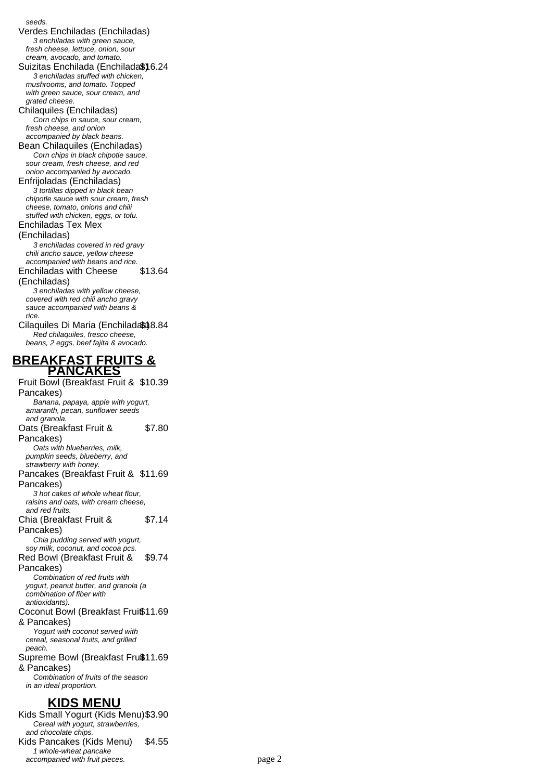#### seeds.

Verdes Enchiladas (Enchiladas) 3 enchiladas with green sauce, fresh cheese, lettuce, onion, sour cream, avocado, and tomato. Suizitas Enchilada (Enchilada\$) 6.24 3 enchiladas stuffed with chicken, mushrooms, and tomato. Topped

with green sauce, sour cream, and grated cheese. Chilaquiles (Enchiladas) Corn chips in sauce, sour cream, fresh cheese, and onion accompanied by black beans.

Bean Chilaquiles (Enchiladas) Corn chips in black chipotle sauce, sour cream, fresh cheese, and red onion accompanied by avocado. Enfrijoladas (Enchiladas)

3 tortillas dipped in black bean chipotle sauce with sour cream, fresh cheese, tomato, onions and chili stuffed with chicken, eggs, or tofu.

Enchiladas Tex Mex

#### (Enchiladas)

3 enchiladas covered in red gravy chili ancho sauce, yellow cheese accompanied with beans and rice.

Enchiladas with Cheese \$13.64

(Enchiladas)

3 enchiladas with yellow cheese, covered with red chili ancho gravy sauce accompanied with beans & rice.

Cilaquiles Di Maria (Enchiladas) 8.84 Red chilaquiles, fresco cheese, beans, 2 eggs, beef fajita & avocado.

Fruit Bowl (Breakfast Fruit & \$10.39

#### **BREAKFAST FRUITS & PANCAKES**

Pancakes) Banana, papaya, apple with yogurt, amaranth, pecan, sunflower seeds and granola. Oats (Breakfast Fruit & Pancakes) \$7.80 Oats with blueberries, milk, pumpkin seeds, blueberry, and strawberry with honey. Pancakes (Breakfast Fruit & \$11.69 Pancakes) 3 hot cakes of whole wheat flour, raisins and oats, with cream cheese, and red fruits. Chia (Breakfast Fruit & Pancakes) \$7.14 Chia pudding served with yogurt, soy milk, coconut, and cocoa pcs. Red Bowl (Breakfast Fruit & Pancakes) \$9.74 Combination of red fruits with yogurt, peanut butter, and granola (a combination of fiber with antioxidants). Coconut Bowl (Breakfast Frui\$11.69 & Pancakes) Yogurt with coconut served with cereal, seasonal fruits, and grilled peach. Supreme Bowl (Breakfast Fruß11.69 & Pancakes) Combination of fruits of the season in an ideal proportion. **KIDS MENU** Kids Small Yogurt (Kids Menu)\$3.90

#### Cereal with yogurt, strawberries, and chocolate chips. Kids Pancakes (Kids Menu) \$4.55 1 whole-wheat pancake accompanied with fruit pieces. example 2 page 2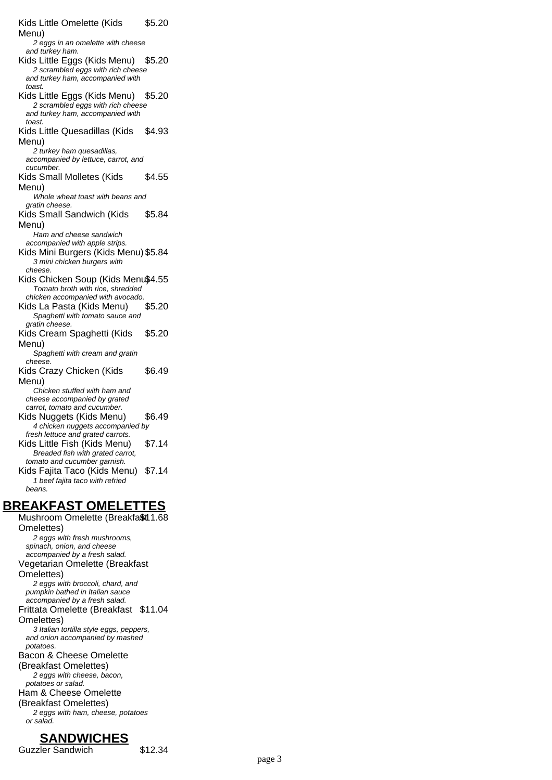Kids Little Omelette (Kids Menu) \$5.20 2 eggs in an omelette with cheese and turkey ham. Kids Little Eggs (Kids Menu) \$5.20 2 scrambled eggs with rich cheese and turkey ham, accompanied with toast. Kids Little Eggs (Kids Menu) \$5.20 2 scrambled eggs with rich cheese and turkey ham, accompanied with toast. Kids Little Quesadillas (Kids Menu) \$4.93 2 turkey ham quesadillas, accompanied by lettuce, carrot, and cucumber. Kids Small Molletes (Kids Menu) \$4.55 Whole wheat toast with beans and gratin cheese. Kids Small Sandwich (Kids Menu) \$5.84 Ham and cheese sandwich accompanied with apple strips. Kids Mini Burgers (Kids Menu) \$5.84 3 mini chicken burgers with cheese. Kids Chicken Soup (Kids Menu\$4.55 Tomato broth with rice, shredded chicken accompanied with avocado. Kids La Pasta (Kids Menu) \$5.20 Spaghetti with tomato sauce and gratin cheese. Kids Cream Spaghetti (Kids Menu) \$5.20 Spaghetti with cream and gratin cheese. Kids Crazy Chicken (Kids Menu) \$6.49 Chicken stuffed with ham and cheese accompanied by grated carrot, tomato and cucumber. Kids Nuggets (Kids Menu) \$6.49 4 chicken nuggets accompanied by fresh lettuce and grated carrots. Kids Little Fish (Kids Menu) \$7.14 Breaded fish with grated carrot, tomato and cucumber garnish. Kids Fajita Taco (Kids Menu) \$7.14 1 beef fajita taco with refried beans.

#### **BREAKFAST OMELETTES**

Mushroom Omelette (Breakfa\$t11.68 Omelettes) 2 eggs with fresh mushrooms, spinach, onion, and cheese accompanied by a fresh salad. Vegetarian Omelette (Breakfast Omelettes) 2 eggs with broccoli, chard, and pumpkin bathed in Italian sauce accompanied by a fresh salad. Frittata Omelette (Breakfast \$11.04 Omelettes) 3 Italian tortilla style eggs, peppers, and onion accompanied by mashed potatoes. Bacon & Cheese Omelette (Breakfast Omelettes) 2 eggs with cheese, bacon, potatoes or salad. Ham & Cheese Omelette (Breakfast Omelettes) 2 eggs with ham, cheese, potatoes or salad.

#### **SANDWICHES**

Guzzler Sandwich \$12.34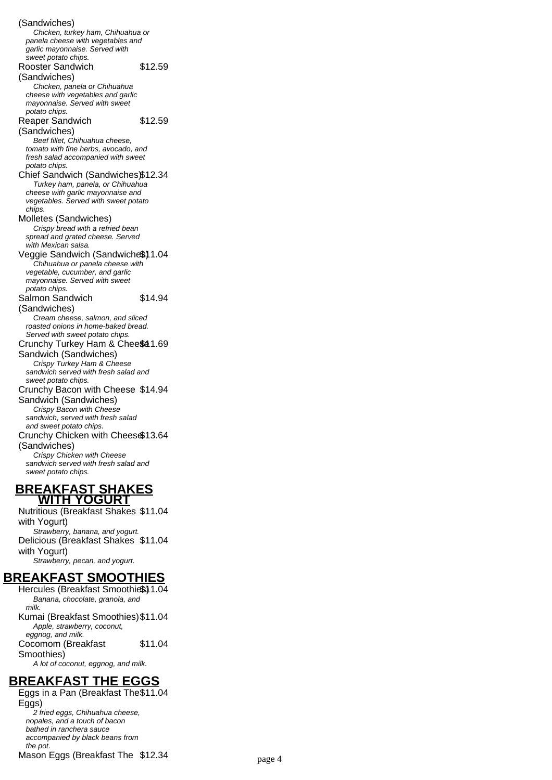(Sandwiches) Chicken, turkey ham, Chihuahua or panela cheese with vegetables and garlic mayonnaise. Served with sweet potato chips. Rooster Sandwich (Sandwiches) \$12.59 Chicken, panela or Chihuahua cheese with vegetables and garlic mayonnaise. Served with sweet potato chips. Reaper Sandwich (Sandwiches) \$12.59 Beef fillet, Chihuahua cheese, tomato with fine herbs, avocado, and fresh salad accompanied with sweet potato chips. Chief Sandwich (Sandwiches)\$12.34 Turkey ham, panela, or Chihuahua cheese with garlic mayonnaise and vegetables. Served with sweet potato chips. Molletes (Sandwiches) Crispy bread with a refried bean spread and grated cheese. Served with Mexican salsa. Veggie Sandwich (Sandwiche\$)1.04 Chihuahua or panela cheese with vegetable, cucumber, and garlic mayonnaise. Served with sweet potato chips. Salmon Sandwich (Sandwiches) \$14.94 Cream cheese, salmon, and sliced roasted onions in home-baked bread. Served with sweet potato chips. Crunchy Turkey Ham & Chee\$41.69 Sandwich (Sandwiches) Crispy Turkey Ham & Cheese sandwich served with fresh salad and sweet potato chips. Crunchy Bacon with Cheese \$14.94 Sandwich (Sandwiches) Crispy Bacon with Cheese sandwich, served with fresh salad and sweet potato chips. Crunchy Chicken with Cheese \$13.64 (Sandwiches) Crispy Chicken with Cheese sandwich served with fresh salad and sweet potato chips.

#### **BREAKFAST SHAKES WITH YOGURT**

Nutritious (Breakfast Shakes \$11.04 with Yogurt) Strawberry, banana, and yogurt. Delicious (Breakfast Shakes \$11.04 with Yogurt) Strawberry, pecan, and yogurt.

#### **BREAKFAST SMOOTHIES**

Hercules (Breakfast Smoothies) 1.04 Banana, chocolate, granola, and milk. Kumai (Breakfast Smoothies)\$11.04 Apple, strawberry, coconut, eggnog, and milk. Cocomom (Breakfast Smoothies) \$11.04 A lot of coconut, eggnog, and milk.

#### **BREAKFAST THE EGGS**

Eggs in a Pan (Breakfast The \$11.04 Eggs) 2 fried eggs, Chihuahua cheese, nopales, and a touch of bacon bathed in ranchera sauce accompanied by black beans from the pot. Mason Eggs (Breakfast The \$12.34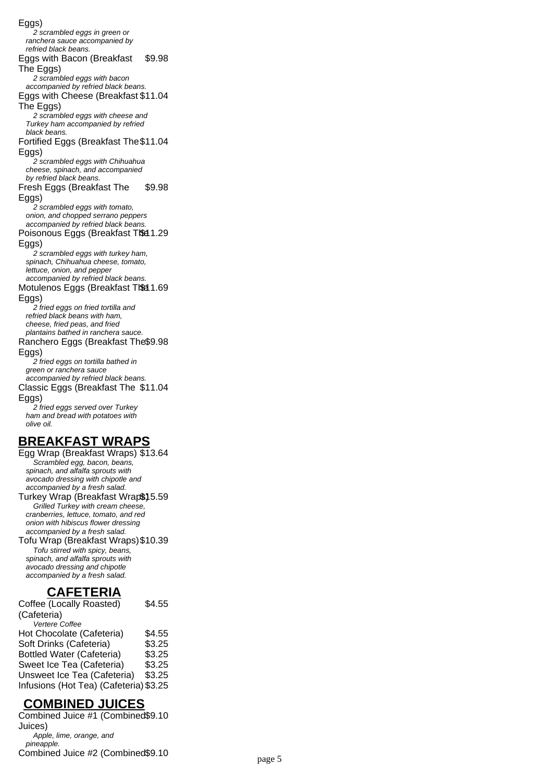Eggs) 2 scrambled eggs in green or ranchera sauce accompanied by refried black beans. Eggs with Bacon (Breakfast The Eggs) \$9.98 2 scrambled eggs with bacon accompanied by refried black beans. Eggs with Cheese (Breakfast \$11.04 The Eggs) 2 scrambled eggs with cheese and Turkey ham accompanied by refried black beans. Fortified Eggs (Breakfast The \$11.04 Eggs) 2 scrambled eggs with Chihuahua cheese, spinach, and accompanied by refried black beans. Fresh Eggs (Breakfast The Eggs) \$9.98 2 scrambled eggs with tomato, onion, and chopped serrano peppers accompanied by refried black beans. Poisonous Eggs (Breakfast The 1.29 Eggs) 2 scrambled eggs with turkey ham, spinach, Chihuahua cheese, tomato, lettuce, onion, and pepper accompanied by refried black beans. Motulenos Eggs (Breakfast The 1.69 Eggs) 2 fried eggs on fried tortilla and refried black beans with ham, cheese, fried peas, and fried plantains bathed in ranchera sauce. Ranchero Eggs (Breakfast The \$9.98 Eggs) 2 fried eggs on tortilla bathed in green or ranchera sauce accompanied by refried black beans. Classic Eggs (Breakfast The \$11.04 Eggs) 2 fried eggs served over Turkey ham and bread with potatoes with olive oil. **BREAKFAST WRAPS**

Egg Wrap (Breakfast Wraps) \$13.64 Scrambled egg, bacon, beans, spinach, and alfalfa sprouts with avocado dressing with chipotle and accompanied by a fresh salad. Turkey Wrap (Breakfast Wrap\$) 5.59

Grilled Turkey with cream cheese, cranberries, lettuce, tomato, and red onion with hibiscus flower dressing accompanied by a fresh salad.

Tofu Wrap (Breakfast Wraps)\$10.39 Tofu stirred with spicy, beans, spinach, and alfalfa sprouts with avocado dressing and chipotle accompanied by a fresh salad.

## **CAFETERIA**

Coffee (Locally Roasted) (Cafeteria) \$4.55 Vertere Coffee Hot Chocolate (Cafeteria) \$4.55<br>Soft Drinks (Cafeteria) \$3.25 Soft Drinks (Cafeteria) \$3.25<br>Bottled Water (Cafeteria) \$3.25 Bottled Water (Cafeteria) \$3.25<br>Sweet Ice Tea (Cafeteria) \$3.25 Sweet Ice Tea (Cafeteria) Unsweet Ice Tea (Cafeteria) \$3.25 Infusions (Hot Tea) (Cafeteria) \$3.25

## **COMBINED JUICES**

Combined Juice #1 (Combined \$9.10 Juices) Apple, lime, orange, and pineapple. Combined Juice #2 (Combined\$9.10 page 5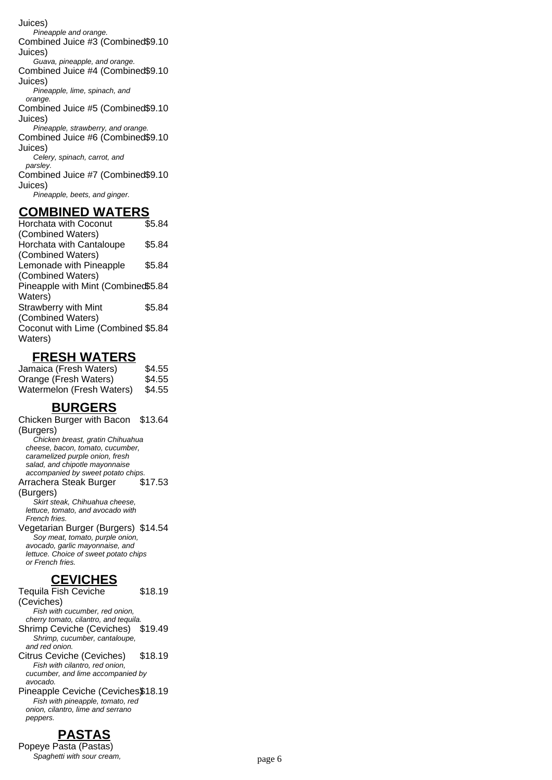Juices) Pineapple and orange. Combined Juice #3 (Combined \$9.10 Juices) Guava, pineapple, and orange. Combined Juice #4 (Combined \$9.10 Juices) Pineapple, lime, spinach, and orange. Combined Juice #5 (Combined \$9.10 Juices) Pineapple, strawberry, and orange. Combined Juice #6 (Combined \$9.10 Juices) Celery, spinach, carrot, and parsley. Combined Juice #7 (Combined \$9.10 Juices) Pineapple, beets, and ginger.

#### **COMBINED WATERS**

Horchata with Coconut (Combined Waters) \$5.84 Horchata with Cantaloupe (Combined Waters) \$5.84 Lemonade with Pineapple (Combined Waters) \$5.84 Pineapple with Mint (Combined \$5.84 Waters) Strawberry with Mint (Combined Waters) \$5.84 Coconut with Lime (Combined \$5.84 Waters)

#### **FRESH WATERS**

Jamaica (Fresh Waters) \$4.55 Orange (Fresh Waters) \$4.55 Watermelon (Fresh Waters) \$4.55

## **BURGERS**

Chicken Burger with Bacon \$13.64 (Burgers) Chicken breast, gratin Chihuahua cheese, bacon, tomato, cucumber, caramelized purple onion, fresh salad, and chipotle mayonnaise accompanied by sweet potato chips. Arrachera Steak Burger (Burgers) \$17.53 Skirt steak, Chihuahua cheese, lettuce, tomato, and avocado with French fries. Vegetarian Burger (Burgers) \$14.54 Soy meat, tomato, purple onion, avocado, garlic mayonnaise, and lettuce. Choice of sweet potato chips or French fries.

## **CEVICHES**

Tequila Fish Ceviche \$18.19

(Ceviches) Fish with cucumber, red onion, cherry tomato, cilantro, and tequila. Shrimp Ceviche (Ceviches) \$19.49 Shrimp, cucumber, cantaloupe, and red onion. Citrus Ceviche (Ceviches) \$18.19 Fish with cilantro, red onion, cucumber, and lime accompanied by

avocado. Pineapple Ceviche (Ceviches\$18.19 Fish with pineapple, tomato, red onion, cilantro, lime and serrano peppers.

# **PASTAS**

Popeye Pasta (Pastas) Spaghetti with sour cream, page 6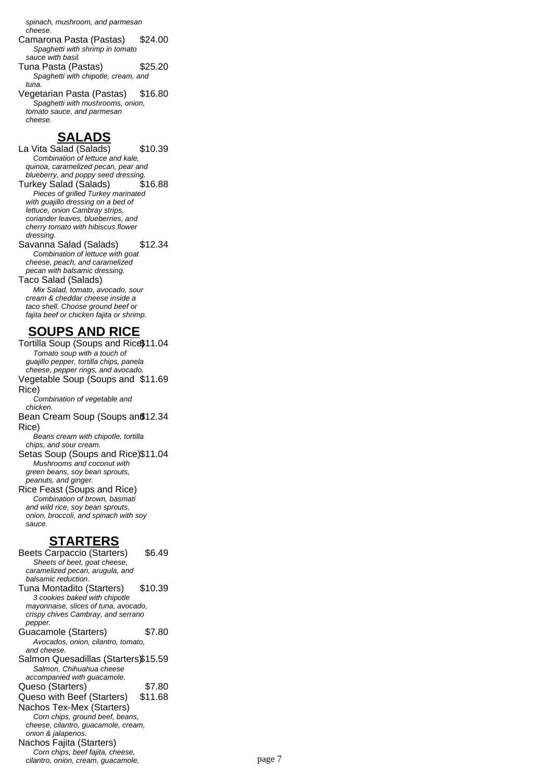spinach, mushroom, and parmesan cheese.

- Camarona Pasta (Pastas) \$24.00 Spaghetti with shrimp in tomato sauce with basil.
- Tuna Pasta (Pastas) \$25.20 Spaghetti with chipotle, cream, and tuna.
- Vegetarian Pasta (Pastas) \$16.80 Spaghetti with mushrooms, onion, tomato sauce, and parmesan cheese.

# **SALADS**

La Vita Salad (Salads) \$10.39 Combination of lettuce and kale, quinoa, caramelized pecan, pear and blueberry, and poppy seed dressing. Turkey Salad (Salads) \$16.88 Pieces of grilled Turkey marinated with guajillo dressing on a bed of lettuce, onion Cambray strips, coriander leaves, blueberries, and cherry tomato with hibiscus flower dressing. Savanna Salad (Salads) \$12.34 Combination of lettuce with goat cheese, peach, and caramelized pecan with balsamic dressing. Taco Salad (Salads) Mix Salad, tomato, avocado, sour

cream & cheddar cheese inside a taco shell. Choose ground beef or fajita beef or chicken fajita or shrimp.

# **SOUPS AND RICE**

Tortilla Soup (Soups and Rice\$11.04 Tomato soup with a touch of guajillo pepper, tortilla chips, panela cheese, pepper rings, and avocado. Vegetable Soup (Soups and \$11.69 Rice) Combination of vegetable and chicken. Bean Cream Soup (Soups an \$12.34 Rice) Beans cream with chipotle, tortilla chips, and sour cream. Setas Soup (Soups and Rice)\$11.04 Mushrooms and coconut with green beans, soy bean sprouts, peanuts, and ginger. Rice Feast (Soups and Rice)

Combination of brown, basmati and wild rice, soy bean sprouts, onion, broccoli, and spinach with soy sauce.

## **STARTERS**

Beets Carpaccio (Starters) \$6.49 Sheets of beet, goat cheese, caramelized pecan, arugula, and balsamic reduction. Tuna Montadito (Starters) \$10.39 3 cookies baked with chipotle mayonnaise, slices of tuna, avocado, crispy chives Cambray, and serrano pepper. Guacamole (Starters) \$7.80 Avocados, onion, cilantro, tomato, and cheese. Salmon Quesadillas (Starters\$15.59 Salmon, Chihuahua cheese accompanied with guacamole. Queso (Starters) \$7.80 Queso with Beef (Starters) \$11.68 Nachos Tex-Mex (Starters) Corn chips, ground beef, beans, cheese, cilantro, guacamole, cream, onion & jalapenos. Nachos Fajita (Starters) Corn chips, beef fajita, cheese, cilantro, onion, cream, guacamole, page 7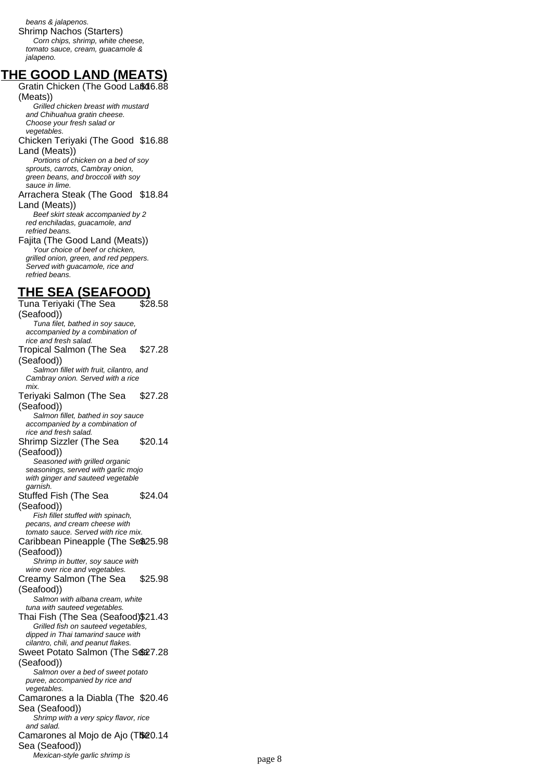beans & jalapenos. Shrimp Nachos (Starters) Corn chips, shrimp, white cheese, tomato sauce, cream, guacamole & jalapeno.

## **THE GOOD LAND (MEATS)**

Gratin Chicken (The Good Laßd6.88 (Meats))

Grilled chicken breast with mustard and Chihuahua gratin cheese. Choose your fresh salad or vegetables. Chicken Teriyaki (The Good \$16.88 Land (Meats)) Portions of chicken on a bed of soy

sprouts, carrots, Cambray onion, green beans, and broccoli with soy sauce in lime.

Arrachera Steak (The Good \$18.84 Land (Meats))

Beef skirt steak accompanied by 2 red enchiladas, guacamole, and refried beans.

Fajita (The Good Land (Meats)) Your choice of beef or chicken. grilled onion, green, and red peppers. Served with guacamole, rice and refried beans.

## **THE SEA (SEAFOOD)**

Tuna Teriyaki (The Sea (Seafood)) \$28.58 Tuna filet, bathed in soy sauce, accompanied by a combination of rice and fresh salad. Tropical Salmon (The Sea (Seafood)) \$27.28 Salmon fillet with fruit, cilantro, and Cambray onion. Served with a rice mix. Teriyaki Salmon (The Sea (Seafood)) \$27.28 Salmon fillet, bathed in soy sauce accompanied by a combination of rice and fresh salad. Shrimp Sizzler (The Sea (Seafood)) \$20.14 Seasoned with grilled organic seasonings, served with garlic mojo with ginger and sauteed vegetable garnish. Stuffed Fish (The Sea (Seafood)) \$24.04 Fish fillet stuffed with spinach. pecans, and cream cheese with tomato sauce. Served with rice mix. Caribbean Pineapple (The Se\$25.98 (Seafood)) Shrimp in butter, soy sauce with wine over rice and vegetables. Creamy Salmon (The Sea (Seafood)) \$25.98 Salmon with albana cream, white tuna with sauteed vegetables. Thai Fish (The Sea (Seafood)\$21.43 Grilled fish on sauteed vegetables, dipped in Thai tamarind sauce with cilantro, chili, and peanut flakes. Sweet Potato Salmon (The Se27.28 (Seafood)) Salmon over a bed of sweet potato puree, accompanied by rice and *vegetables.* Camarones a la Diabla (The \$20.46 Sea (Seafood)) Shrimp with a very spicy flavor, rice and salad. Camarones al Mojo de Ajo (T\$20.14 Sea (Seafood)) Mexican-style garlic shrimp is page 8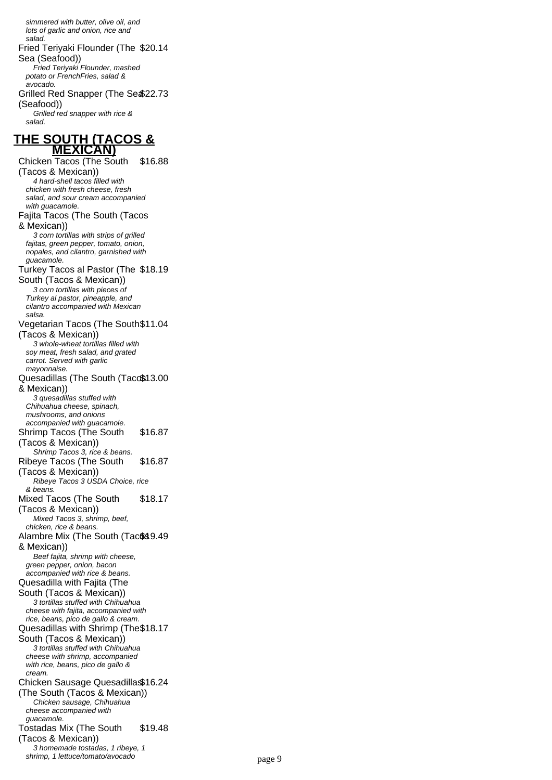simmered with butter, olive oil, and lots of garlic and onion, rice and salad. Fried Teriyaki Flounder (The \$20.14 Sea (Seafood)) Fried Teriyaki Flounder, mashed potato or FrenchFries, salad & avocado. Grilled Red Snapper (The Sea \$22.73 (Seafood)) Grilled red snapper with rice & salad. **THE SOUTH (TACOS & MEXICAN)** Chicken Tacos (The South \$16.88 (Tacos & Mexican)) 4 hard-shell tacos filled with chicken with fresh cheese, fresh salad, and sour cream accompanied with guacamole. Fajita Tacos (The South (Tacos & Mexican)) 3 corn tortillas with strips of grilled fajitas, green pepper, tomato, onion, nopales, and cilantro, garnished with guacamole. Turkey Tacos al Pastor (The \$18.19 South (Tacos & Mexican)) 3 corn tortillas with pieces of Turkey al pastor, pineapple, and cilantro accompanied with Mexican salsa. Vegetarian Tacos (The South \$11.04 (Tacos & Mexican)) 3 whole-wheat tortillas filled with soy meat, fresh salad, and grated carrot. Served with garlic mayonnaise. Quesadillas (The South (Tacc\$13.00 & Mexican)) 3 quesadillas stuffed with Chihuahua cheese, spinach, mushrooms, and onions accompanied with guacamole. Shrimp Tacos (The South (Tacos & Mexican)) \$16.87 Shrimp Tacos 3, rice & beans. Ribeye Tacos (The South (Tacos & Mexican)) \$16.87 Ribeye Tacos 3 USDA Choice, rice & beans. Mixed Tacos (The South (Tacos & Mexican)) \$18.17 Mixed Tacos 3, shrimp, beef, chicken, rice & beans. Alambre Mix (The South (Tac\$\$9.49 & Mexican)) Beef fajita, shrimp with cheese, green pepper, onion, bacon accompanied with rice & beans. Quesadilla with Fajita (The South (Tacos & Mexican)) 3 tortillas stuffed with Chihuahua cheese with fajita, accompanied with rice, beans, pico de gallo & cream. Quesadillas with Shrimp (The \$18.17 South (Tacos & Mexican)) 3 tortillas stuffed with Chihuahua cheese with shrimp, accompanied with rice, beans, pico de gallo & cream. Chicken Sausage Quesadillas \$16.24 (The South (Tacos & Mexican)) Chicken sausage, Chihuahua cheese accompanied with guacamole. Tostadas Mix (The South \$19.48

(Tacos & Mexican))

3 homemade tostadas, 1 ribeye, 1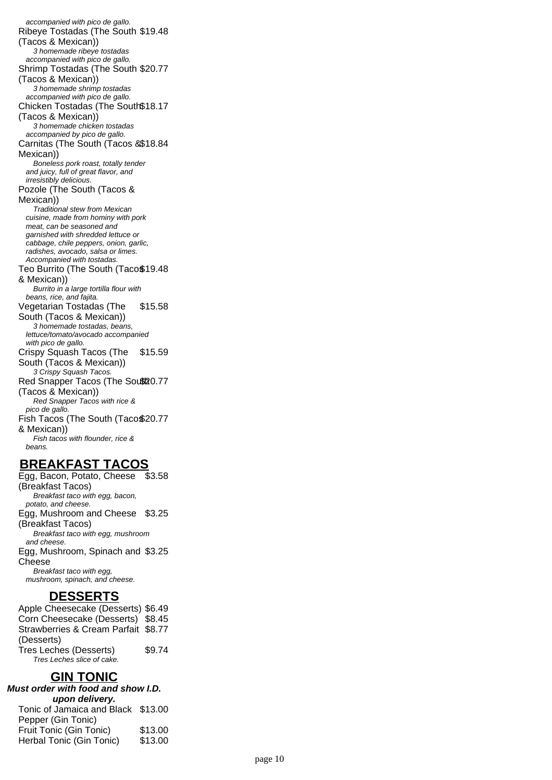accompanied with pico de gallo. Ribeye Tostadas (The South \$19.48 (Tacos & Mexican)) 3 homemade ribeye tostadas accompanied with pico de gallo. Shrimp Tostadas (The South \$20.77 (Tacos & Mexican)) 3 homemade shrimp tostadas accompanied with pico de gallo. Chicken Tostadas (The South \$18.17 (Tacos & Mexican)) 3 homemade chicken tostadas accompanied by pico de gallo. Carnitas (The South (Tacos & \$18.84 Mexican)) Boneless pork roast, totally tender and juicy, full of great flavor, and irresistibly delicious. Pozole (The South (Tacos & Mexican)) Traditional stew from Mexican cuisine, made from hominy with pork meat, can be seasoned and garnished with shredded lettuce or cabbage, chile peppers, onion, garlic, radishes, avocado, salsa or limes. Accompanied with tostadas. Teo Burrito (The South (Taco\$19.48 & Mexican)) Burrito in a large tortilla flour with beans, rice, and fajita. Vegetarian Tostadas (The South (Tacos & Mexican)) \$15.58 3 homemade tostadas, beans, lettuce/tomato/avocado accompanied with pico de gallo. Crispy Squash Tacos (The South (Tacos & Mexican)) \$15.59 3 Crispy Squash Tacos. Red Snapper Tacos (The Sout 20.77 (Tacos & Mexican)) Red Snapper Tacos with rice & pico de gallo. Fish Tacos (The South (Taco\$20.77 & Mexican)) Fish tacos with flounder, rice & beans.

## **BREAKFAST TACOS**

Egg, Bacon, Potato, Cheese (Breakfast Tacos) \$3.58 Breakfast taco with egg, bacon, potato, and cheese. Egg, Mushroom and Cheese \$3.25 (Breakfast Tacos) Breakfast taco with egg, mushroom and cheese. Egg, Mushroom, Spinach and \$3.25 Cheese Breakfast taco with egg, mushroom, spinach, and cheese.

## **DESSERTS**

Apple Cheesecake (Desserts) \$6.49 Corn Cheesecake (Desserts) \$8.45 Strawberries & Cream Parfait \$8.77 (Desserts) Tres Leches (Desserts) \$9.74 Tres Leches slice of cake.

## **GIN TONIC**

**Must order with food and show I.D. upon delivery.** Tonic of Jamaica and Black \$13.00 Pepper (Gin Tonic) Fruit Tonic (Gin Tonic) \$13.00 Herbal Tonic (Gin Tonic) \$13.00